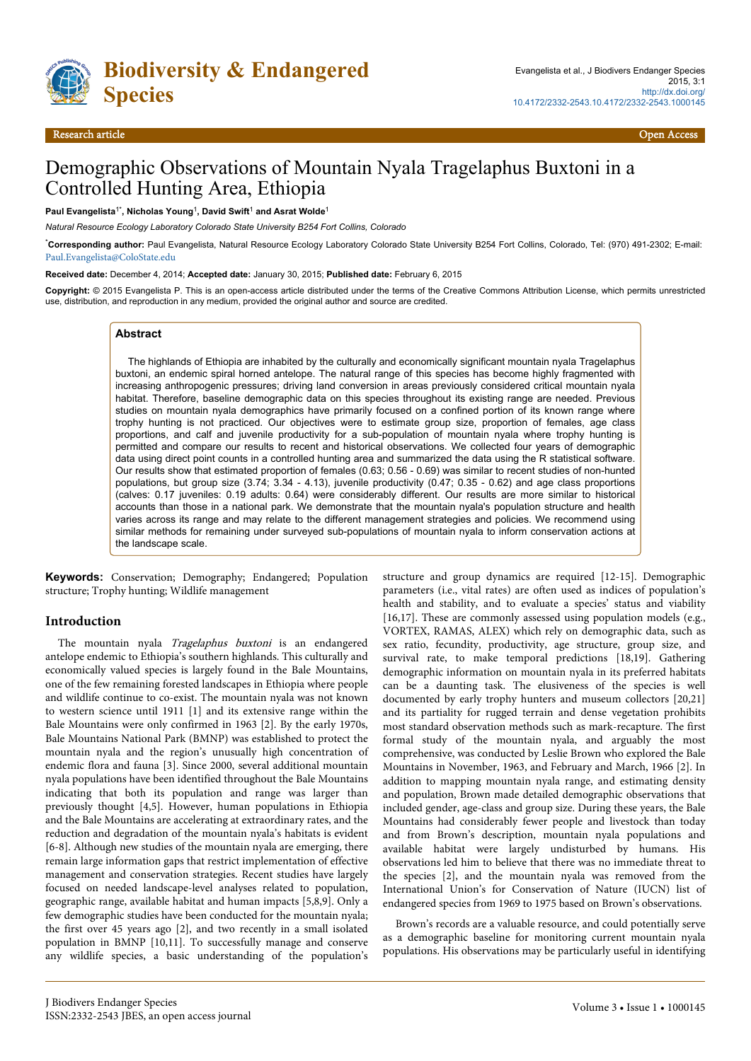

# Demographic Observations of Mountain Nyala Tragelaphus Buxtoni in a Controlled Hunting Area, Ethiopia

**Paul Evangelista**1\***, Nicholas Young**<sup>1</sup> **, David Swift**<sup>1</sup>  **and Asrat Wolde**<sup>1</sup>

*Natural Resource Ecology Laboratory Colorado State University B254 Fort Collins, Colorado*

\***Corresponding author:** Paul Evangelista, Natural Resource Ecology Laboratory Colorado State University B254 Fort Collins, Colorado, Tel: (970) 491-2302; E-mail: [Paul.Evangelista@ColoState.edu](mailto:Paul.Evangelista@ColoState.edu)

**Received date:** December 4, 2014; **Accepted date:** January 30, 2015; **Published date:** February 6, 2015

**Copyright:** © 2015 Evangelista P. This is an open-access article distributed under the terms of the Creative Commons Attribution License, which permits unrestricted use, distribution, and reproduction in any medium, provided the original author and source are credited.

#### **Abstract**

The highlands of Ethiopia are inhabited by the culturally and economically significant mountain nyala Tragelaphus buxtoni, an endemic spiral horned antelope. The natural range of this species has become highly fragmented with increasing anthropogenic pressures; driving land conversion in areas previously considered critical mountain nyala habitat. Therefore, baseline demographic data on this species throughout its existing range are needed. Previous studies on mountain nyala demographics have primarily focused on a confined portion of its known range where trophy hunting is not practiced. Our objectives were to estimate group size, proportion of females, age class proportions, and calf and juvenile productivity for a sub-population of mountain nyala where trophy hunting is permitted and compare our results to recent and historical observations. We collected four years of demographic data using direct point counts in a controlled hunting area and summarized the data using the R statistical software. Our results show that estimated proportion of females (0.63; 0.56 - 0.69) was similar to recent studies of non-hunted populations, but group size (3.74; 3.34 - 4.13), juvenile productivity (0.47; 0.35 - 0.62) and age class proportions (calves: 0.17 juveniles: 0.19 adults: 0.64) were considerably different. Our results are more similar to historical accounts than those in a national park. We demonstrate that the mountain nyala's population structure and health varies across its range and may relate to the different management strategies and policies. We recommend using similar methods for remaining under surveyed sub-populations of mountain nyala to inform conservation actions at the landscape scale.

**Keywords:** Conservation; Demography; Endangered; Population structure; Trophy hunting; Wildlife management

#### **Introduction**

The mountain nyala Tragelaphus buxtoni is an endangered antelope endemic to Ethiopia's southern highlands. This culturally and economically valued species is largely found in the Bale Mountains, one of the few remaining forested landscapes in Ethiopia where people and wildlife continue to co-exist. The mountain nyala was not known to western science until 1911 [1] and its extensive range within the Bale Mountains were only confirmed in 1963 [2]. By the early 1970s, Bale Mountains National Park (BMNP) was established to protect the mountain nyala and the region's unusually high concentration of endemic flora and fauna [3]. Since 2000, several additional mountain nyala populations have been identified throughout the Bale Mountains indicating that both its population and range was larger than previously thought [4,5]. However, human populations in Ethiopia and the Bale Mountains are accelerating at extraordinary rates, and the reduction and degradation of the mountain nyala's habitats is evident [6-8]. Although new studies of the mountain nyala are emerging, there remain large information gaps that restrict implementation of effective management and conservation strategies. Recent studies have largely focused on needed landscape-level analyses related to population, geographic range, available habitat and human impacts [5,8,9]. Only a few demographic studies have been conducted for the mountain nyala; the first over 45 years ago [2], and two recently in a small isolated population in BMNP [10,11]. To successfully manage and conserve any wildlife species, a basic understanding of the population's

structure and group dynamics are required [12-15]. Demographic parameters (i.e., vital rates) are often used as indices of population's health and stability, and to evaluate a species' status and viability [16,17]. These are commonly assessed using population models (e.g., VORTEX, RAMAS, ALEX) which rely on demographic data, such as sex ratio, fecundity, productivity, age structure, group size, and survival rate, to make temporal predictions [18,19]. Gathering demographic information on mountain nyala in its preferred habitats can be a daunting task. The elusiveness of the species is well documented by early trophy hunters and museum collectors [20,21] and its partiality for rugged terrain and dense vegetation prohibits most standard observation methods such as mark-recapture. The first formal study of the mountain nyala, and arguably the most comprehensive, was conducted by Leslie Brown who explored the Bale Mountains in November, 1963, and February and March, 1966 [2]. In addition to mapping mountain nyala range, and estimating density and population, Brown made detailed demographic observations that included gender, age-class and group size. During these years, the Bale Mountains had considerably fewer people and livestock than today and from Brown's description, mountain nyala populations and available habitat were largely undisturbed by humans. His observations led him to believe that there was no immediate threat to the species [2], and the mountain nyala was removed from the International Union's for Conservation of Nature (IUCN) list of endangered species from 1969 to 1975 based on Brown's observations.

Brown's records are a valuable resource, and could potentially serve as a demographic baseline for monitoring current mountain nyala populations. His observations may be particularly useful in identifying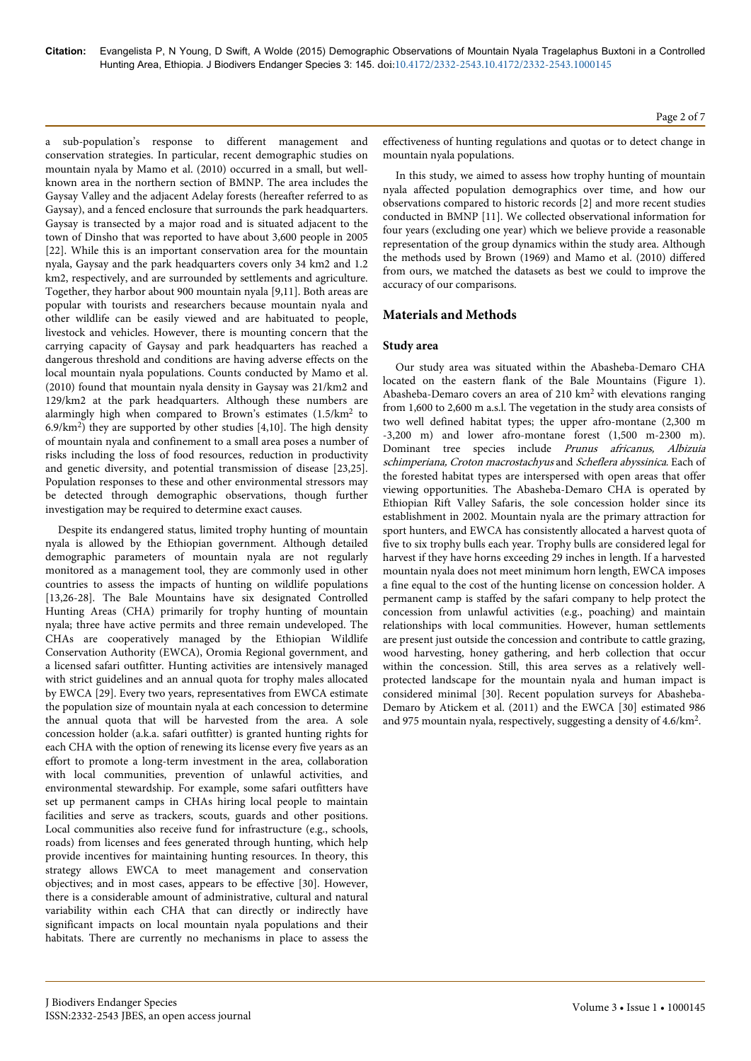a sub-population's response to different management and conservation strategies. In particular, recent demographic studies on mountain nyala by Mamo et al. (2010) occurred in a small, but wellknown area in the northern section of BMNP. The area includes the Gaysay Valley and the adjacent Adelay forests (hereafter referred to as Gaysay), and a fenced enclosure that surrounds the park headquarters. Gaysay is transected by a major road and is situated adjacent to the town of Dinsho that was reported to have about 3,600 people in 2005 [22]. While this is an important conservation area for the mountain nyala, Gaysay and the park headquarters covers only 34 km2 and 1.2 km2, respectively, and are surrounded by settlements and agriculture. Together, they harbor about 900 mountain nyala [9,11]. Both areas are popular with tourists and researchers because mountain nyala and other wildlife can be easily viewed and are habituated to people, livestock and vehicles. However, there is mounting concern that the carrying capacity of Gaysay and park headquarters has reached a dangerous threshold and conditions are having adverse effects on the local mountain nyala populations. Counts conducted by Mamo et al. (2010) found that mountain nyala density in Gaysay was 21/km2 and 129/km2 at the park headquarters. Although these numbers are alarmingly high when compared to Brown's estimates  $(1.5/km<sup>2</sup>$  to 6.9/km<sup>2</sup> ) they are supported by other studies [4,10]. The high density of mountain nyala and confinement to a small area poses a number of risks including the loss of food resources, reduction in productivity and genetic diversity, and potential transmission of disease [23,25]. Population responses to these and other environmental stressors may be detected through demographic observations, though further investigation may be required to determine exact causes.

Despite its endangered status, limited trophy hunting of mountain nyala is allowed by the Ethiopian government. Although detailed demographic parameters of mountain nyala are not regularly monitored as a management tool, they are commonly used in other countries to assess the impacts of hunting on wildlife populations [13,26-28]. The Bale Mountains have six designated Controlled Hunting Areas (CHA) primarily for trophy hunting of mountain nyala; three have active permits and three remain undeveloped. The CHAs are cooperatively managed by the Ethiopian Wildlife Conservation Authority (EWCA), Oromia Regional government, and a licensed safari outfitter. Hunting activities are intensively managed with strict guidelines and an annual quota for trophy males allocated by EWCA [29]. Every two years, representatives from EWCA estimate the population size of mountain nyala at each concession to determine the annual quota that will be harvested from the area. A sole concession holder (a.k.a. safari outfitter) is granted hunting rights for each CHA with the option of renewing its license every five years as an effort to promote a long-term investment in the area, collaboration with local communities, prevention of unlawful activities, and environmental stewardship. For example, some safari outfitters have set up permanent camps in CHAs hiring local people to maintain facilities and serve as trackers, scouts, guards and other positions. Local communities also receive fund for infrastructure (e.g., schools, roads) from licenses and fees generated through hunting, which help provide incentives for maintaining hunting resources. In theory, this strategy allows EWCA to meet management and conservation objectives; and in most cases, appears to be effective [30]. However, there is a considerable amount of administrative, cultural and natural variability within each CHA that can directly or indirectly have significant impacts on local mountain nyala populations and their habitats. There are currently no mechanisms in place to assess the

Page 2 of 7

effectiveness of hunting regulations and quotas or to detect change in mountain nyala populations.

In this study, we aimed to assess how trophy hunting of mountain nyala affected population demographics over time, and how our observations compared to historic records [2] and more recent studies conducted in BMNP [11]. We collected observational information for four years (excluding one year) which we believe provide a reasonable representation of the group dynamics within the study area. Although the methods used by Brown (1969) and Mamo et al. (2010) differed from ours, we matched the datasets as best we could to improve the accuracy of our comparisons.

# **Materials and Methods**

#### **Study area**

Our study area was situated within the Abasheba-Demaro CHA located on the eastern flank of the Bale Mountains (Figure 1). Abasheba-Demaro covers an area of 210 km2 with elevations ranging from 1,600 to 2,600 m a.s.l. The vegetation in the study area consists of two well defined habitat types; the upper afro-montane (2,300 m -3,200 m) and lower afro-montane forest (1,500 m-2300 m). Dominant tree species include Prunus africanus, Albizuia schimperiana, Croton macrostachyus and Scheflera abyssinica. Each of the forested habitat types are interspersed with open areas that offer viewing opportunities. The Abasheba-Demaro CHA is operated by Ethiopian Rift Valley Safaris, the sole concession holder since its establishment in 2002. Mountain nyala are the primary attraction for sport hunters, and EWCA has consistently allocated a harvest quota of five to six trophy bulls each year. Trophy bulls are considered legal for harvest if they have horns exceeding 29 inches in length. If a harvested mountain nyala does not meet minimum horn length, EWCA imposes a fine equal to the cost of the hunting license on concession holder. A permanent camp is staffed by the safari company to help protect the concession from unlawful activities (e.g., poaching) and maintain relationships with local communities. However, human settlements are present just outside the concession and contribute to cattle grazing, wood harvesting, honey gathering, and herb collection that occur within the concession. Still, this area serves as a relatively wellprotected landscape for the mountain nyala and human impact is considered minimal [30]. Recent population surveys for Abasheba-Demaro by Atickem et al. (2011) and the EWCA [30] estimated 986 and 975 mountain nyala, respectively, suggesting a density of 4.6/km<sup>2</sup>.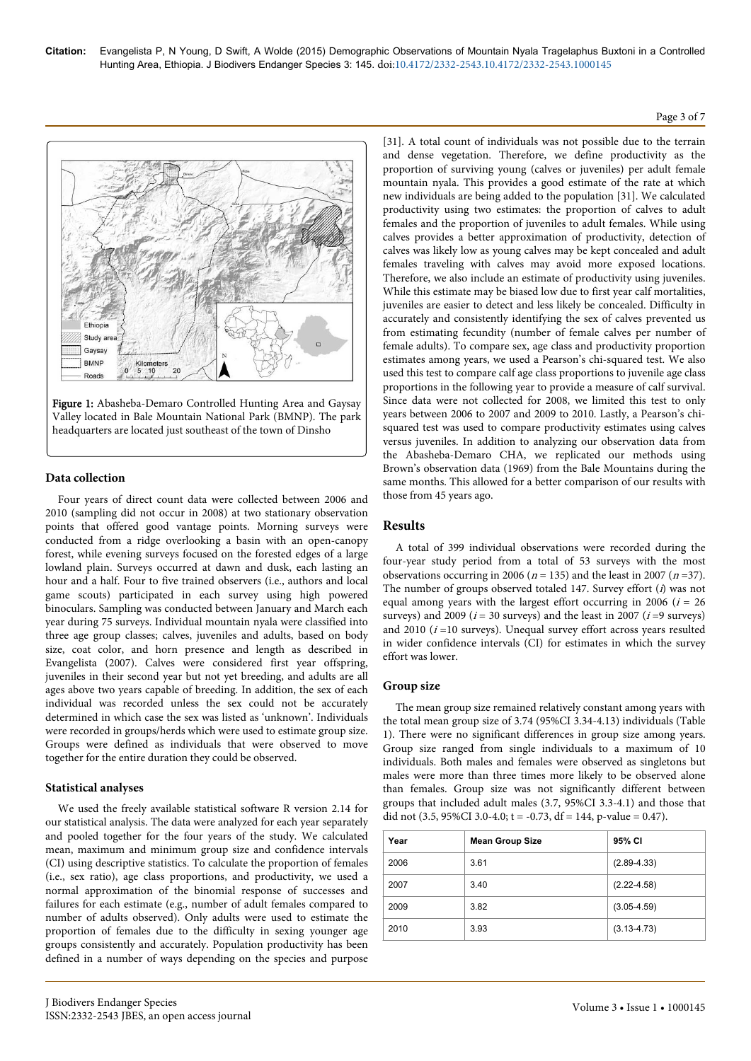# Ethiop Study an Gaysay BMNF  $-10$  $20$ Road



# **Data collection**

Four years of direct count data were collected between 2006 and 2010 (sampling did not occur in 2008) at two stationary observation points that offered good vantage points. Morning surveys were conducted from a ridge overlooking a basin with an open-canopy forest, while evening surveys focused on the forested edges of a large lowland plain. Surveys occurred at dawn and dusk, each lasting an hour and a half. Four to five trained observers (i.e., authors and local game scouts) participated in each survey using high powered binoculars. Sampling was conducted between January and March each year during 75 surveys. Individual mountain nyala were classified into three age group classes; calves, juveniles and adults, based on body size, coat color, and horn presence and length as described in Evangelista (2007). Calves were considered first year offspring, juveniles in their second year but not yet breeding, and adults are all ages above two years capable of breeding. In addition, the sex of each individual was recorded unless the sex could not be accurately determined in which case the sex was listed as 'unknown'. Individuals were recorded in groups/herds which were used to estimate group size. Groups were defined as individuals that were observed to move together for the entire duration they could be observed.

#### **Statistical analyses**

We used the freely available statistical software R version 2.14 for our statistical analysis. The data were analyzed for each year separately and pooled together for the four years of the study. We calculated mean, maximum and minimum group size and confidence intervals (CI) using descriptive statistics. To calculate the proportion of females (i.e., sex ratio), age class proportions, and productivity, we used a normal approximation of the binomial response of successes and failures for each estimate (e.g., number of adult females compared to number of adults observed). Only adults were used to estimate the proportion of females due to the difficulty in sexing younger age groups consistently and accurately. Population productivity has been defined in a number of ways depending on the species and purpose [31]. A total count of individuals was not possible due to the terrain and dense vegetation. Therefore, we define productivity as the proportion of surviving young (calves or juveniles) per adult female mountain nyala. This provides a good estimate of the rate at which new individuals are being added to the population [31]. We calculated productivity using two estimates: the proportion of calves to adult females and the proportion of juveniles to adult females. While using calves provides a better approximation of productivity, detection of calves was likely low as young calves may be kept concealed and adult females traveling with calves may avoid more exposed locations. Therefore, we also include an estimate of productivity using juveniles. While this estimate may be biased low due to first year calf mortalities, juveniles are easier to detect and less likely be concealed. Difficulty in accurately and consistently identifying the sex of calves prevented us from estimating fecundity (number of female calves per number of female adults). To compare sex, age class and productivity proportion estimates among years, we used a Pearson's chi-squared test. We also used this test to compare calf age class proportions to juvenile age class proportions in the following year to provide a measure of calf survival. Since data were not collected for 2008, we limited this test to only years between 2006 to 2007 and 2009 to 2010. Lastly, a Pearson's chisquared test was used to compare productivity estimates using calves versus juveniles. In addition to analyzing our observation data from the Abasheba-Demaro CHA, we replicated our methods using Brown's observation data (1969) from the Bale Mountains during the same months. This allowed for a better comparison of our results with those from 45 years ago.

Page 3 of 7

# **Results**

A total of 399 individual observations were recorded during the four-year study period from a total of 53 surveys with the most observations occurring in 2006 ( $n = 135$ ) and the least in 2007 ( $n = 37$ ). The number of groups observed totaled 147. Survey effort (i) was not equal among years with the largest effort occurring in 2006 ( $i = 26$ ) surveys) and 2009 ( $i = 30$  surveys) and the least in 2007 ( $i = 9$  surveys) and  $2010$  ( $i = 10$  surveys). Unequal survey effort across years resulted in wider confidence intervals (CI) for estimates in which the survey effort was lower.

#### **Group size**

The mean group size remained relatively constant among years with the total mean group size of 3.74 (95%CI 3.34-4.13) individuals (Table 1). There were no significant differences in group size among years. Group size ranged from single individuals to a maximum of 10 individuals. Both males and females were observed as singletons but males were more than three times more likely to be observed alone than females. Group size was not significantly different between groups that included adult males (3.7, 95%CI 3.3-4.1) and those that did not  $(3.5, 95\% \text{CI } 3.0-4.0; t = -0.73, df = 144, p-value = 0.47)$ .

| Year | <b>Mean Group Size</b> | 95% CI          |
|------|------------------------|-----------------|
| 2006 | 3.61                   | $(2.89 - 4.33)$ |
| 2007 | 3.40                   | $(2.22 - 4.58)$ |
| 2009 | 3.82                   | $(3.05 - 4.59)$ |
| 2010 | 3.93                   | $(3.13 - 4.73)$ |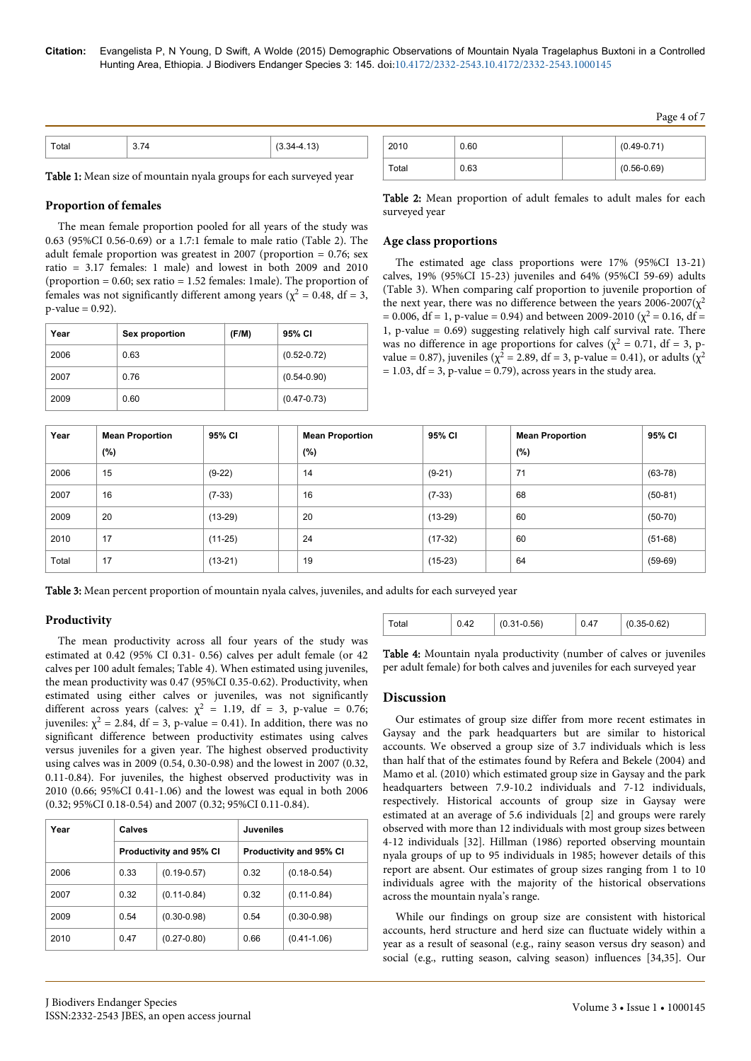| ™otal | $(3.34 - 4.13)$<br>$\sim$ $\sim$ $\sim$ $\sim$ $\sim$ |
|-------|-------------------------------------------------------|

Table 1: Mean size of mountain nyala groups for each surveyed year

### **Proportion of females**

The mean female proportion pooled for all years of the study was 0.63 (95%CI 0.56-0.69) or a 1.7:1 female to male ratio (Table 2). The adult female proportion was greatest in 2007 (proportion  $= 0.76$ ; sex ratio = 3.17 females: 1 male) and lowest in both 2009 and 2010 (proportion = 0.60; sex ratio = 1.52 females: 1male). The proportion of females was not significantly different among years ( $\chi^2$  = 0.48, df = 3,  $p$ -value = 0.92).

| Year | Sex proportion | (F/M) | 95% CI          |
|------|----------------|-------|-----------------|
| 2006 | 0.63           |       | $(0.52 - 0.72)$ |
| 2007 | 0.76           |       | $(0.54 - 0.90)$ |
| 2009 | 0.60           |       | $(0.47 - 0.73)$ |

| 2010  | 0.60 | $(0.49 - 0.71)$ |
|-------|------|-----------------|
| Total | 0.63 | $(0.56 - 0.69)$ |

Table 2: Mean proportion of adult females to adult males for each surveyed year

#### **Age class proportions**

The estimated age class proportions were 17% (95%CI 13-21) calves, 19% (95%CI 15-23) juveniles and 64% (95%CI 59-69) adults (Table 3). When comparing calf proportion to juvenile proportion of the next year, there was no difference between the years  $2006 - 2007(\chi^2)$ = 0.006, df = 1, p-value = 0.94) and between 2009-2010 ( $\chi^2$  = 0.16, df = 1, p-value = 0.69) suggesting relatively high calf survival rate. There was no difference in age proportions for calves ( $\chi^2 = 0.71$ , df = 3, pvalue = 0.87), juveniles ( $\chi^2$  = 2.89, df = 3, p-value = 0.41), or adults ( $\chi^2$  $= 1.03$ , df  $= 3$ , p-value  $= 0.79$ ), across years in the study area.

| Year  | <b>Mean Proportion</b> | 95% CI    | <b>Mean Proportion</b> | 95% CI    | <b>Mean Proportion</b> | 95% CI    |
|-------|------------------------|-----------|------------------------|-----------|------------------------|-----------|
|       | (%)                    |           | (%)                    |           | (%)                    |           |
| 2006  | 15                     | $(9-22)$  | 14                     | $(9-21)$  | 71                     | $(63-78)$ |
| 2007  | 16                     | $(7-33)$  | 16                     | $(7-33)$  | 68                     | $(50-81)$ |
| 2009  | 20                     | $(13-29)$ | 20                     | $(13-29)$ | 60                     | $(50-70)$ |
| 2010  | 17                     | $(11-25)$ | 24                     | $(17-32)$ | 60                     | $(51-68)$ |
| Total | 17                     | $(13-21)$ | 19                     | $(15-23)$ | 64                     | $(59-69)$ |

Table 3: Mean percent proportion of mountain nyala calves, juveniles, and adults for each surveyed year

#### **Productivity**

The mean productivity across all four years of the study was estimated at 0.42 (95% CI 0.31- 0.56) calves per adult female (or 42 calves per 100 adult females; Table 4). When estimated using juveniles, the mean productivity was 0.47 (95%CI 0.35-0.62). Productivity, when estimated using either calves or juveniles, was not significantly different across years (calves:  $\chi^2 = 1.19$ , df = 3, p-value = 0.76; juveniles:  $\chi^2 = 2.84$ , df = 3, p-value = 0.41). In addition, there was no significant difference between productivity estimates using calves versus juveniles for a given year. The highest observed productivity using calves was in 2009 (0.54, 0.30-0.98) and the lowest in 2007 (0.32, 0.11-0.84). For juveniles, the highest observed productivity was in 2010 (0.66; 95%CI 0.41-1.06) and the lowest was equal in both 2006 (0.32; 95%CI 0.18-0.54) and 2007 (0.32; 95%CI 0.11-0.84).

| Year | Calves                  |                                | <b>Juveniles</b>               |                 |  |  |
|------|-------------------------|--------------------------------|--------------------------------|-----------------|--|--|
|      |                         | <b>Productivity and 95% CI</b> | <b>Productivity and 95% CI</b> |                 |  |  |
| 2006 | 0.33                    | $(0.19 - 0.57)$                | 0.32                           | $(0.18 - 0.54)$ |  |  |
| 2007 | 0.32                    | $(0.11 - 0.84)$                | 0.32                           | $(0.11 - 0.84)$ |  |  |
| 2009 | 0.54                    | $(0.30 - 0.98)$                | 0.54                           | $(0.30 - 0.98)$ |  |  |
| 2010 | $(0.27 - 0.80)$<br>0.47 |                                | 0.66                           | $(0.41 - 1.06)$ |  |  |

Table 4: Mountain nyala productivity (number of calves or juveniles per adult female) for both calves and juveniles for each surveyed year

Total 0.42 (0.31-0.56) 0.47 (0.35-0.62)

#### **Discussion**

Our estimates of group size differ from more recent estimates in Gaysay and the park headquarters but are similar to historical accounts. We observed a group size of 3.7 individuals which is less than half that of the estimates found by Refera and Bekele (2004) and Mamo et al. (2010) which estimated group size in Gaysay and the park headquarters between 7.9-10.2 individuals and 7-12 individuals, respectively. Historical accounts of group size in Gaysay were estimated at an average of 5.6 individuals [2] and groups were rarely observed with more than 12 individuals with most group sizes between 4-12 individuals [32]. Hillman (1986) reported observing mountain nyala groups of up to 95 individuals in 1985; however details of this report are absent. Our estimates of group sizes ranging from 1 to 10 individuals agree with the majority of the historical observations across the mountain nyala's range.

While our findings on group size are consistent with historical accounts, herd structure and herd size can fluctuate widely within a year as a result of seasonal (e.g., rainy season versus dry season) and social (e.g., rutting season, calving season) influences [34,35]. Our

Page 4 of 7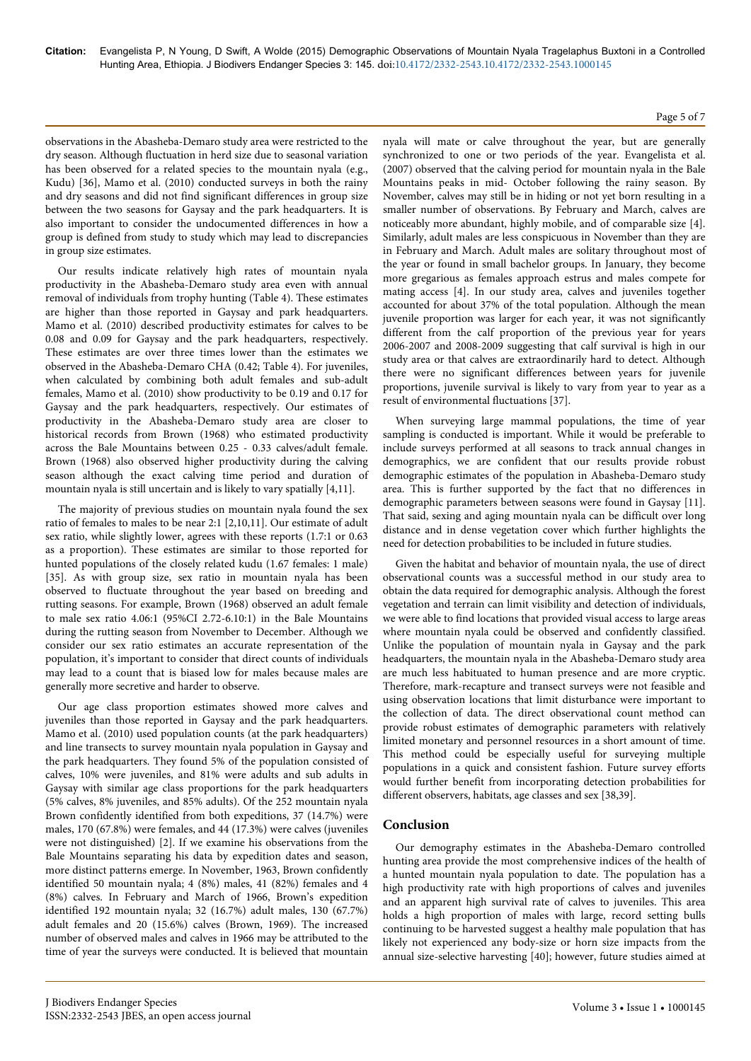#### Page 5 of 7

observations in the Abasheba-Demaro study area were restricted to the dry season. Although fluctuation in herd size due to seasonal variation has been observed for a related species to the mountain nyala (e.g., Kudu) [36], Mamo et al. (2010) conducted surveys in both the rainy and dry seasons and did not find significant differences in group size between the two seasons for Gaysay and the park headquarters. It is also important to consider the undocumented differences in how a group is defined from study to study which may lead to discrepancies in group size estimates.

Our results indicate relatively high rates of mountain nyala productivity in the Abasheba-Demaro study area even with annual removal of individuals from trophy hunting (Table 4). These estimates are higher than those reported in Gaysay and park headquarters. Mamo et al. (2010) described productivity estimates for calves to be 0.08 and 0.09 for Gaysay and the park headquarters, respectively. These estimates are over three times lower than the estimates we observed in the Abasheba-Demaro CHA (0.42; Table 4). For juveniles, when calculated by combining both adult females and sub-adult females, Mamo et al. (2010) show productivity to be 0.19 and 0.17 for Gaysay and the park headquarters, respectively. Our estimates of productivity in the Abasheba-Demaro study area are closer to historical records from Brown (1968) who estimated productivity across the Bale Mountains between 0.25 - 0.33 calves/adult female. Brown (1968) also observed higher productivity during the calving season although the exact calving time period and duration of mountain nyala is still uncertain and is likely to vary spatially [4,11].

The majority of previous studies on mountain nyala found the sex ratio of females to males to be near 2:1 [2,10,11]. Our estimate of adult sex ratio, while slightly lower, agrees with these reports (1.7:1 or 0.63 as a proportion). These estimates are similar to those reported for hunted populations of the closely related kudu (1.67 females: 1 male) [35]. As with group size, sex ratio in mountain nyala has been observed to fluctuate throughout the year based on breeding and rutting seasons. For example, Brown (1968) observed an adult female to male sex ratio 4.06:1 (95%CI 2.72-6.10:1) in the Bale Mountains during the rutting season from November to December. Although we consider our sex ratio estimates an accurate representation of the population, it's important to consider that direct counts of individuals may lead to a count that is biased low for males because males are generally more secretive and harder to observe.

Our age class proportion estimates showed more calves and juveniles than those reported in Gaysay and the park headquarters. Mamo et al. (2010) used population counts (at the park headquarters) and line transects to survey mountain nyala population in Gaysay and the park headquarters. They found 5% of the population consisted of calves, 10% were juveniles, and 81% were adults and sub adults in Gaysay with similar age class proportions for the park headquarters (5% calves, 8% juveniles, and 85% adults). Of the 252 mountain nyala Brown confidently identified from both expeditions, 37 (14.7%) were males, 170 (67.8%) were females, and 44 (17.3%) were calves (juveniles were not distinguished) [2]. If we examine his observations from the Bale Mountains separating his data by expedition dates and season, more distinct patterns emerge. In November, 1963, Brown confidently identified 50 mountain nyala; 4 (8%) males, 41 (82%) females and 4 (8%) calves. In February and March of 1966, Brown's expedition identified 192 mountain nyala; 32 (16.7%) adult males, 130 (67.7%) adult females and 20 (15.6%) calves (Brown, 1969). The increased number of observed males and calves in 1966 may be attributed to the time of year the surveys were conducted. It is believed that mountain

nyala will mate or calve throughout the year, but are generally synchronized to one or two periods of the year. Evangelista et al. (2007) observed that the calving period for mountain nyala in the Bale Mountains peaks in mid- October following the rainy season. By November, calves may still be in hiding or not yet born resulting in a smaller number of observations. By February and March, calves are noticeably more abundant, highly mobile, and of comparable size [4]. Similarly, adult males are less conspicuous in November than they are in February and March. Adult males are solitary throughout most of the year or found in small bachelor groups. In January, they become more gregarious as females approach estrus and males compete for mating access [4]. In our study area, calves and juveniles together accounted for about 37% of the total population. Although the mean juvenile proportion was larger for each year, it was not significantly different from the calf proportion of the previous year for years 2006-2007 and 2008-2009 suggesting that calf survival is high in our study area or that calves are extraordinarily hard to detect. Although there were no significant differences between years for juvenile proportions, juvenile survival is likely to vary from year to year as a result of environmental fluctuations [37].

When surveying large mammal populations, the time of year sampling is conducted is important. While it would be preferable to include surveys performed at all seasons to track annual changes in demographics, we are confident that our results provide robust demographic estimates of the population in Abasheba-Demaro study area. This is further supported by the fact that no differences in demographic parameters between seasons were found in Gaysay [11]. That said, sexing and aging mountain nyala can be difficult over long distance and in dense vegetation cover which further highlights the need for detection probabilities to be included in future studies.

Given the habitat and behavior of mountain nyala, the use of direct observational counts was a successful method in our study area to obtain the data required for demographic analysis. Although the forest vegetation and terrain can limit visibility and detection of individuals, we were able to find locations that provided visual access to large areas where mountain nyala could be observed and confidently classified. Unlike the population of mountain nyala in Gaysay and the park headquarters, the mountain nyala in the Abasheba-Demaro study area are much less habituated to human presence and are more cryptic. Therefore, mark-recapture and transect surveys were not feasible and using observation locations that limit disturbance were important to the collection of data. The direct observational count method can provide robust estimates of demographic parameters with relatively limited monetary and personnel resources in a short amount of time. This method could be especially useful for surveying multiple populations in a quick and consistent fashion. Future survey efforts would further benefit from incorporating detection probabilities for different observers, habitats, age classes and sex [38,39].

# **Conclusion**

Our demography estimates in the Abasheba-Demaro controlled hunting area provide the most comprehensive indices of the health of a hunted mountain nyala population to date. The population has a high productivity rate with high proportions of calves and juveniles and an apparent high survival rate of calves to juveniles. This area holds a high proportion of males with large, record setting bulls continuing to be harvested suggest a healthy male population that has likely not experienced any body-size or horn size impacts from the annual size-selective harvesting [40]; however, future studies aimed at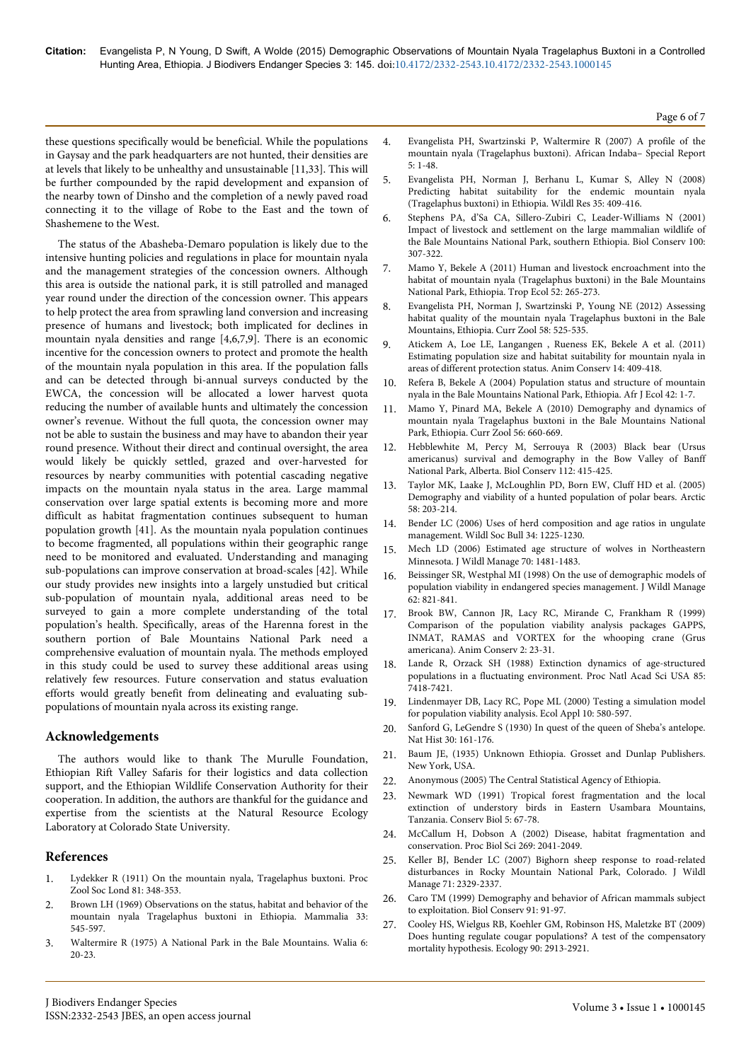these questions specifically would be beneficial. While the populations in Gaysay and the park headquarters are not hunted, their densities are at levels that likely to be unhealthy and unsustainable [11,33]. This will be further compounded by the rapid development and expansion of the nearby town of Dinsho and the completion of a newly paved road connecting it to the village of Robe to the East and the town of Shashemene to the West.

The status of the Abasheba-Demaro population is likely due to the intensive hunting policies and regulations in place for mountain nyala and the management strategies of the concession owners. Although this area is outside the national park, it is still patrolled and managed year round under the direction of the concession owner. This appears to help protect the area from sprawling land conversion and increasing presence of humans and livestock; both implicated for declines in mountain nyala densities and range [4,6,7,9]. There is an economic incentive for the concession owners to protect and promote the health of the mountain nyala population in this area. If the population falls and can be detected through bi-annual surveys conducted by the EWCA, the concession will be allocated a lower harvest quota reducing the number of available hunts and ultimately the concession owner's revenue. Without the full quota, the concession owner may not be able to sustain the business and may have to abandon their year round presence. Without their direct and continual oversight, the area would likely be quickly settled, grazed and over-harvested for resources by nearby communities with potential cascading negative impacts on the mountain nyala status in the area. Large mammal conservation over large spatial extents is becoming more and more difficult as habitat fragmentation continues subsequent to human population growth [41]. As the mountain nyala population continues to become fragmented, all populations within their geographic range need to be monitored and evaluated. Understanding and managing sub-populations can improve conservation at broad-scales [42]. While our study provides new insights into a largely unstudied but critical sub-population of mountain nyala, additional areas need to be surveyed to gain a more complete understanding of the total population's health. Specifically, areas of the Harenna forest in the southern portion of Bale Mountains National Park need a comprehensive evaluation of mountain nyala. The methods employed in this study could be used to survey these additional areas using relatively few resources. Future conservation and status evaluation efforts would greatly benefit from delineating and evaluating subpopulations of mountain nyala across its existing range.

# **Acknowledgements**

The authors would like to thank The Murulle Foundation, Ethiopian Rift Valley Safaris for their logistics and data collection support, and the Ethiopian Wildlife Conservation Authority for their cooperation. In addition, the authors are thankful for the guidance and expertise from the scientists at the Natural Resource Ecology Laboratory at Colorado State University.

# **References**

- 1. [Lydekker R \(1911\) On the mountain nyala, Tragelaphus buxtoni. Proc](http://www.researchgate.net/publication/230383168_On_the_Mountain_Nyala_Tragelaphus_buxtoni.*) [Zool Soc Lond 81: 348-353.](http://www.researchgate.net/publication/230383168_On_the_Mountain_Nyala_Tragelaphus_buxtoni.*)
- 2. [Brown LH \(1969\) Observations on the status, habitat and behavior of the](http://www.degruyter.com/dg/viewarticle/j$002fmamm.1969.33.issue-4$002fmamm.1969.33.4.545$002fmamm.1969.33.4.545.xml) [mountain nyala Tragelaphus buxtoni in Ethiopia. Mammalia 33:](http://www.degruyter.com/dg/viewarticle/j$002fmamm.1969.33.issue-4$002fmamm.1969.33.4.545$002fmamm.1969.33.4.545.xml) [545-597.](http://www.degruyter.com/dg/viewarticle/j$002fmamm.1969.33.issue-4$002fmamm.1969.33.4.545$002fmamm.1969.33.4.545.xml)
- 3. Waltermire R (1975) A National Park in the Bale Mountains. Walia 6: 20-23.
- 4. [Evangelista PH, Swartzinski P, Waltermire R \(2007\) A profile of the](http://www.researchgate.net/publication/242222888_A_profile_of_the_mountain_nyala_%28Tragelaphus_buxtoni%29) [mountain nyala \(Tragelaphus buxtoni\). African Indaba– Special Report](http://www.researchgate.net/publication/242222888_A_profile_of_the_mountain_nyala_%28Tragelaphus_buxtoni%29) [5: 1-48.](http://www.researchgate.net/publication/242222888_A_profile_of_the_mountain_nyala_%28Tragelaphus_buxtoni%29)
- 5. [Evangelista PH, Norman J, Berhanu L, Kumar S, Alley N \(2008\)](http://warnercnr.colostate.edu/~sunil/Evangelista%20et%20al_2008_Predicting_habitat_suitability_endemic_mountain_Nyala_Ethiopia.pdf) [Predicting habitat suitability for the endemic mountain nyala](http://warnercnr.colostate.edu/~sunil/Evangelista%20et%20al_2008_Predicting_habitat_suitability_endemic_mountain_Nyala_Ethiopia.pdf) [\(Tragelaphus buxtoni\) in Ethiopia. Wildl Res 35: 409-416.](http://warnercnr.colostate.edu/~sunil/Evangelista%20et%20al_2008_Predicting_habitat_suitability_endemic_mountain_Nyala_Ethiopia.pdf)
- 6. [Stephens PA, d'Sa CA, Sillero-Zubiri C, Leader-Williams N \(2001\)](https://community.dur.ac.uk/philip.stephens/Papers/Stephens%20et%20al%202001.pdf) [Impact of livestock and settlement on the large mammalian wildlife of](https://community.dur.ac.uk/philip.stephens/Papers/Stephens%20et%20al%202001.pdf) [the Bale Mountains National Park, southern Ethiopia. Biol Conserv 100:](https://community.dur.ac.uk/philip.stephens/Papers/Stephens%20et%20al%202001.pdf) [307-322.](https://community.dur.ac.uk/philip.stephens/Papers/Stephens%20et%20al%202001.pdf)
- 7. [Mamo Y, Bekele A \(2011\) Human and livestock encroachment into the](http://www.tropecol.com/pdf/open/PDF_52_3/Jour-04-F.pdf) [habitat of mountain nyala \(Tragelaphus buxtoni\) in the Bale Mountains](http://www.tropecol.com/pdf/open/PDF_52_3/Jour-04-F.pdf) [National Park, Ethiopia. Trop Ecol 52: 265-273.](http://www.tropecol.com/pdf/open/PDF_52_3/Jour-04-F.pdf)
- 8. Evangelista PH, Norman J, Swartzinski P, Young NE (2012) Assessing habitat quality of the mountain nyala Tragelaphus buxtoni in the Bale Mountains, Ethiopia. Curr Zool 58: 525-535.
- 9. [Atickem A, Loe LE, Langangen , Rueness EK, Bekele A et al. \(2011\)](http://onlinelibrary.wiley.com/doi/10.1111/j.1469-1795.2011.00437.x/abstract) [Estimating population size and habitat suitability for mountain nyala in](http://onlinelibrary.wiley.com/doi/10.1111/j.1469-1795.2011.00437.x/abstract) [areas of different protection status. Anim Conserv 14: 409-418.](http://onlinelibrary.wiley.com/doi/10.1111/j.1469-1795.2011.00437.x/abstract)
- 10. [Refera B, Bekele A \(2004\) Population status and structure of mountain](http://onlinelibrary.wiley.com/doi/10.1111/j.0141-6707.2004.00437.x/abstract) [nyala in the Bale Mountains National Park, Ethiopia. Afr J Ecol 42: 1-7.](http://onlinelibrary.wiley.com/doi/10.1111/j.0141-6707.2004.00437.x/abstract)
- 11. [Mamo Y, Pinard MA, Bekele A \(2010\) Demography and dynamics of](http://www.researchgate.net/publication/49583810_Demography_and_dynamics_of_mountain_nyala_Tragelaphus_buxtoni_in_the_Bale_Mountains_National_Park_Ethiopia) [mountain nyala Tragelaphus buxtoni in the Bale Mountains National](http://www.researchgate.net/publication/49583810_Demography_and_dynamics_of_mountain_nyala_Tragelaphus_buxtoni_in_the_Bale_Mountains_National_Park_Ethiopia) [Park, Ethiopia. Curr Zool 56: 660-669.](http://www.researchgate.net/publication/49583810_Demography_and_dynamics_of_mountain_nyala_Tragelaphus_buxtoni_in_the_Bale_Mountains_National_Park_Ethiopia)
- 12. [Hebblewhite M, Percy M, Serrouya R \(2003\) Black bear \(Ursus](http://www.sciencedirect.com/science/article/pii/S0006320702003415) [americanus\) survival and demography in the Bow Valley of Banff](http://www.sciencedirect.com/science/article/pii/S0006320702003415) [National Park, Alberta. Biol Conserv 112: 415-425.](http://www.sciencedirect.com/science/article/pii/S0006320702003415)
- 13. [Taylor MK, Laake J, McLoughlin PD, Born EW, Cluff HD et al. \(2005\)](http://arctic.journalhosting.ucalgary.ca/arctic/index.php/arctic/article/view/411) [Demography and viability of a hunted population of polar bears. Arctic](http://arctic.journalhosting.ucalgary.ca/arctic/index.php/arctic/article/view/411) [58: 203-214.](http://arctic.journalhosting.ucalgary.ca/arctic/index.php/arctic/article/view/411)
- 14. [Bender LC \(2006\) Uses of herd composition and age ratios in ungulate](http://www.jstor.org/discover/10.2307/4134340?uid=3738256&uid=2&uid=4&sid=21106409933121) [management. Wildl Soc Bull 34: 1225-1230.](http://www.jstor.org/discover/10.2307/4134340?uid=3738256&uid=2&uid=4&sid=21106409933121)
- 15. [Mech LD \(2006\) Estimated age structure of wolves in Northeastern](http://digitalcommons.unl.edu/cgi/viewcontent.cgi?article=1092&context=usgsnpwrc) [Minnesota. J Wildl Manage 70: 1481-1483.](http://digitalcommons.unl.edu/cgi/viewcontent.cgi?article=1092&context=usgsnpwrc)
- 16. [Beissinger SR, Westphal MI \(1998\) On the use of demographic models of](http://www.jstor.org/discover/10.2307/3802534?sid=21105854124983&uid=4&uid=2&uid=70&uid=2129&uid=3738256) [population viability in endangered species management. J Wildl Manage](http://www.jstor.org/discover/10.2307/3802534?sid=21105854124983&uid=4&uid=2&uid=70&uid=2129&uid=3738256) [62: 821-841.](http://www.jstor.org/discover/10.2307/3802534?sid=21105854124983&uid=4&uid=2&uid=70&uid=2129&uid=3738256)
- 17. [Brook BW, Cannon JR, Lacy RC, Mirande C, Frankham R \(1999\)](http://www.vortex10.org/Lacy/Reprints/Comparison%20of%20PVA%20Packages.pdf) [Comparison of the population viability analysis packages GAPPS,](http://www.vortex10.org/Lacy/Reprints/Comparison%20of%20PVA%20Packages.pdf) [INMAT, RAMAS and VORTEX for the whooping crane \(Grus](http://www.vortex10.org/Lacy/Reprints/Comparison%20of%20PVA%20Packages.pdf) [americana\). Anim Conserv 2: 23-31.](http://www.vortex10.org/Lacy/Reprints/Comparison%20of%20PVA%20Packages.pdf)
- 18. [Lande R, Orzack SH \(1988\) Extinction dynamics of age-structured](http://www.ncbi.nlm.nih.gov/pubmed/3174643) [populations in a fluctuating environment. Proc Natl Acad Sci USA 85:](http://www.ncbi.nlm.nih.gov/pubmed/3174643) [7418-7421.](http://www.ncbi.nlm.nih.gov/pubmed/3174643)
- 19. Lindenmayer DB, Lacy RC, Pope ML (2000) Testing a simulation model for population viability analysis. Ecol Appl 10: 580-597.
- 20. [Sanford G, LeGendre S \(1930\) In quest of the queen of Sheba's antelope.](https://books.google.co.in/books/about/In_Quest_of_the_Queen_of_Sheba_s_Antelop.html?id=P34RoAEACAAJ&hl=en) [Nat Hist 30: 161-176.](https://books.google.co.in/books/about/In_Quest_of_the_Queen_of_Sheba_s_Antelop.html?id=P34RoAEACAAJ&hl=en)
- 21. [Baum JE, \(1935\) Unknown Ethiopia. Grosset and Dunlap Publishers.](http://www.abebooks.com/book-search/title/unknown-ethiopia/used/) [New York, USA.](http://www.abebooks.com/book-search/title/unknown-ethiopia/used/)
- 22. Anonymous (2005) The Central Statistical Agency of Ethiopia.
- 23. [Newmark WD \(1991\) Tropical forest fragmentation and the local](http://onlinelibrary.wiley.com/doi/10.2193/2006-486/abstract) [extinction of understory birds in Eastern Usambara Mountains,](http://onlinelibrary.wiley.com/doi/10.2193/2006-486/abstract) [Tanzania. Conserv Biol 5: 67-78.](http://onlinelibrary.wiley.com/doi/10.2193/2006-486/abstract)
- 24. [McCallum H, Dobson A \(2002\) Disease, habitat fragmentation and](http://www.ncbi.nlm.nih.gov/pubmed/12396504) [conservation. Proc Biol Sci 269: 2041-2049.](http://www.ncbi.nlm.nih.gov/pubmed/12396504)
- 25. [Keller BJ, Bender LC \(2007\) Bighorn sheep response to road-related](http://onlinelibrary.wiley.com/doi/10.2193/2006-486/abstract) [disturbances in Rocky Mountain National Park, Colorado. J Wildl](http://onlinelibrary.wiley.com/doi/10.2193/2006-486/abstract) [Manage 71: 2329-2337.](http://onlinelibrary.wiley.com/doi/10.2193/2006-486/abstract)
- 26. [Caro TM \(1999\) Demography and behavior of African mammals subject](http://www.sciencedirect.com/science/article/pii/S0006320799000336) [to exploitation. Biol Conserv 91: 91-97.](http://www.sciencedirect.com/science/article/pii/S0006320799000336)
- 27. [Cooley HS, Wielgus RB, Koehler GM, Robinson HS, Maletzke BT \(2009\)](http://www.ncbi.nlm.nih.gov/pubmed/19886499) [Does hunting regulate cougar populations? A test of the compensatory](http://www.ncbi.nlm.nih.gov/pubmed/19886499) [mortality hypothesis. Ecology 90: 2913-2921.](http://www.ncbi.nlm.nih.gov/pubmed/19886499)